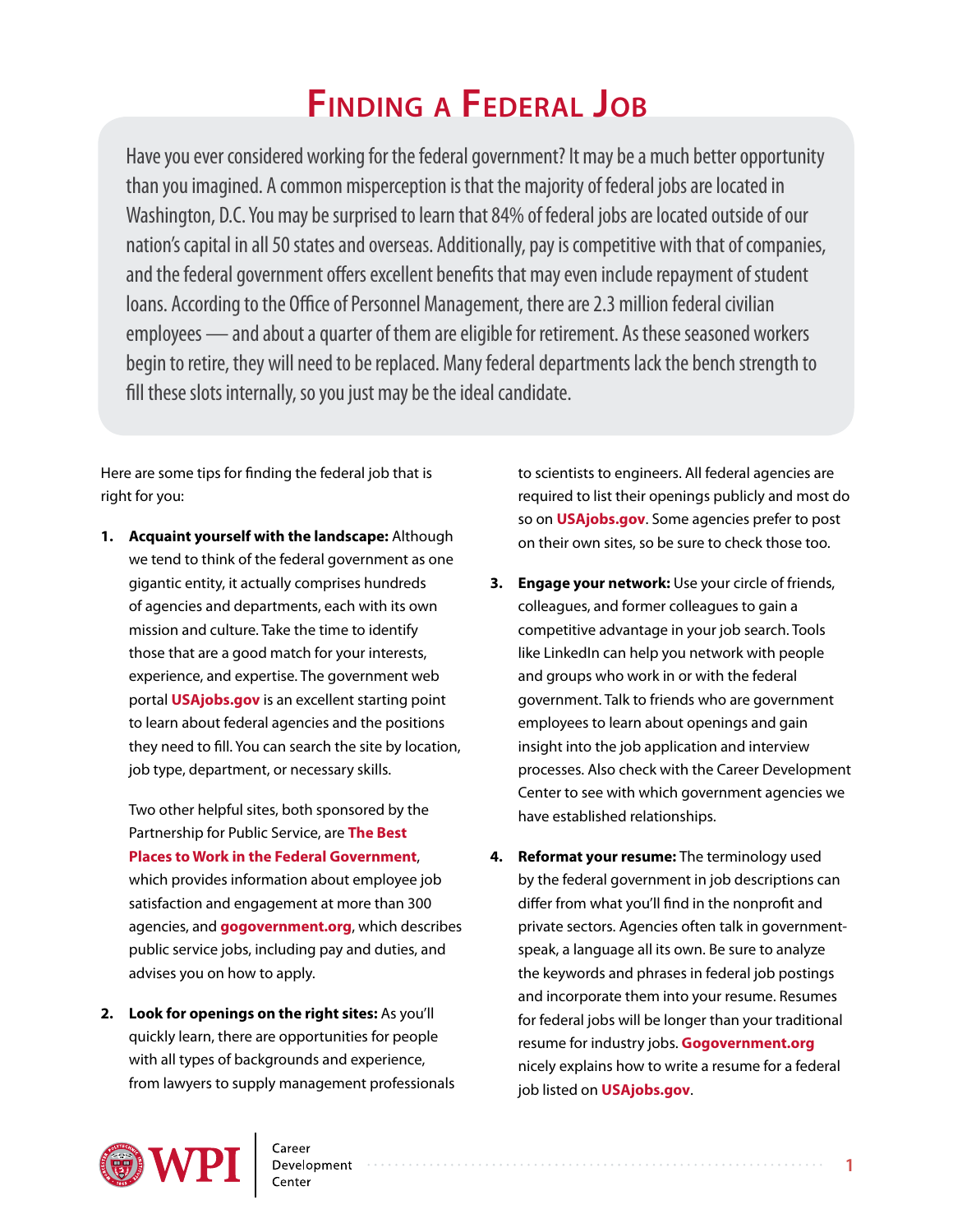# **Finding a Federal Job**

Have you ever considered working for the federal government? It may be a much better opportunity than you imagined. A common misperception is that the majority of federal jobs are located in Washington, D.C. You may be surprised to learn that 84% of federal jobs are located outside of our nation's capital in all 50 states and overseas. Additionally, pay is competitive with that of companies, and the federal government offers excellent benefits that may even include repayment of student loans. According to the Office of Personnel Management, there are 2.3 million federal civilian employees — and about a quarter of them are eligible for retirement. As these seasoned workers begin to retire, they will need to be replaced. Many federal departments lack the bench strength to fill these slots internally, so you just may be the ideal candidate.

Here are some tips for finding the federal job that is right for you:

**1. Acquaint yourself with the landscape:** Although we tend to think of the federal government as one gigantic entity, it actually comprises hundreds of agencies and departments, each with its own mission and culture. Take the time to identify those that are a good match for your interests, experience, and expertise. The government web portal **[USAjobs.gov](http://usajobs.gov/)** is an excellent starting point to learn about federal agencies and the positions they need to fill. You can search the site by location, job type, department, or necessary skills.

Two other helpful sites, both sponsored by the Partnership for Public Service, are **[The Best](http://bestplacestowork.org/BPTW/rankings) [Places to Work in the Federal Government](http://bestplacestowork.org/BPTW/rankings)**, which provides information about employee job satisfaction and engagement at more than 300 agencies, and **[gogovernment.org](http://makingthedifference.org/)**, which describes public service jobs, including pay and duties, and advises you on how to apply.

**2. Look for openings on the right sites:** As you'll quickly learn, there are opportunities for people with all types of backgrounds and experience, from lawyers to supply management professionals to scientists to engineers. All federal agencies are required to list their openings publicly and most do so on **[USAjobs.gov](http://usajobs.gov/)**. Some agencies prefer to post on their own sites, so be sure to check those too.

- **3. Engage your network:** Use your circle of friends, colleagues, and former colleagues to gain a competitive advantage in your job search. Tools like LinkedIn can help you network with people and groups who work in or with the federal government. Talk to friends who are government employees to learn about openings and gain insight into the job application and interview processes. Also check with the Career Development Center to see with which government agencies we have established relationships.
- **4. Reformat your resume:** The terminology used by the federal government in job descriptions can differ from what you'll find in the nonprofit and private sectors. Agencies often talk in governmentspeak, a language all its own. Be sure to analyze the keywords and phrases in federal job postings and incorporate them into your resume. Resumes for federal jobs will be longer than your traditional resume for industry jobs. **[Gogovernment.org](http://makingthedifference.org/)** nicely explains how to write a resume for a federal job listed on **[USAjobs.gov](http://usajobs.gov/)**.

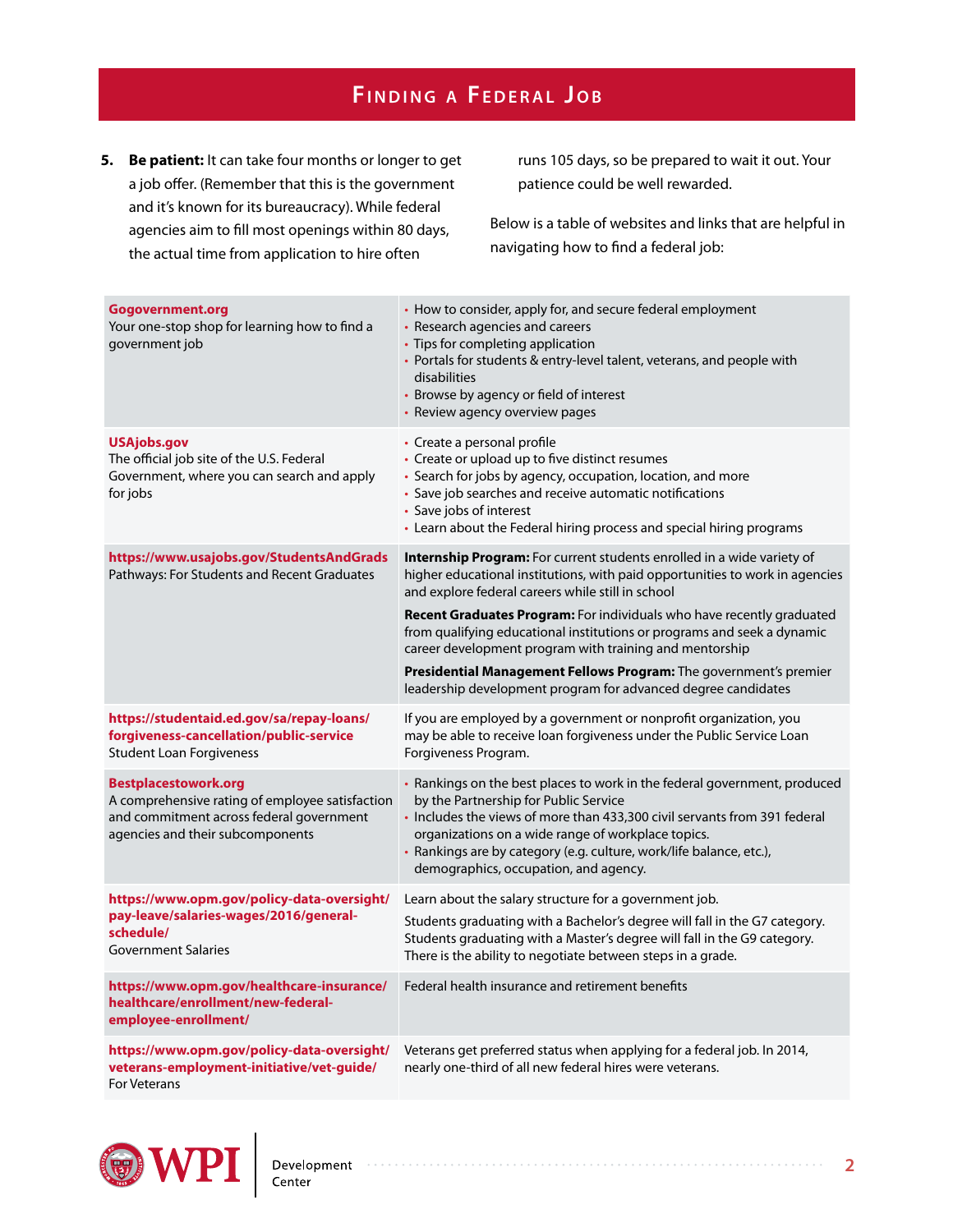## **Fi n d i n g a F e d e r a l J o b**

**5. Be patient:** It can take four months or longer to get a job offer. (Remember that this is the government and it's known for its bureaucracy). While federal agencies aim to fill most openings within 80 days, the actual time from application to hire often

runs 105 days, so be prepared to wait it out. Your patience could be well rewarded.

Below is a table of websites and links that are helpful in navigating how to find a federal job:

| Gogovernment.org<br>Your one-stop shop for learning how to find a<br>government job                                                                     | • How to consider, apply for, and secure federal employment<br>• Research agencies and careers<br>• Tips for completing application<br>• Portals for students & entry-level talent, veterans, and people with<br>disabilities<br>• Browse by agency or field of interest<br>• Review agency overview pages                                                            |
|---------------------------------------------------------------------------------------------------------------------------------------------------------|-----------------------------------------------------------------------------------------------------------------------------------------------------------------------------------------------------------------------------------------------------------------------------------------------------------------------------------------------------------------------|
| <b>USAjobs.gov</b><br>The official job site of the U.S. Federal<br>Government, where you can search and apply<br>for jobs                               | • Create a personal profile<br>• Create or upload up to five distinct resumes<br>• Search for jobs by agency, occupation, location, and more<br>• Save job searches and receive automatic notifications<br>• Save jobs of interest<br>• Learn about the Federal hiring process and special hiring programs                                                            |
| https://www.usajobs.gov/StudentsAndGrads<br>Pathways: For Students and Recent Graduates                                                                 | Internship Program: For current students enrolled in a wide variety of<br>higher educational institutions, with paid opportunities to work in agencies<br>and explore federal careers while still in school                                                                                                                                                           |
|                                                                                                                                                         | Recent Graduates Program: For individuals who have recently graduated<br>from qualifying educational institutions or programs and seek a dynamic<br>career development program with training and mentorship                                                                                                                                                           |
|                                                                                                                                                         | <b>Presidential Management Fellows Program:</b> The government's premier<br>leadership development program for advanced degree candidates                                                                                                                                                                                                                             |
| https://studentaid.ed.gov/sa/repay-loans/<br>forgiveness-cancellation/public-service<br><b>Student Loan Forgiveness</b>                                 | If you are employed by a government or nonprofit organization, you<br>may be able to receive loan forgiveness under the Public Service Loan<br>Forgiveness Program.                                                                                                                                                                                                   |
| Bestplacestowork.org<br>A comprehensive rating of employee satisfaction<br>and commitment across federal government<br>agencies and their subcomponents | • Rankings on the best places to work in the federal government, produced<br>by the Partnership for Public Service<br>• Includes the views of more than 433,300 civil servants from 391 federal<br>organizations on a wide range of workplace topics.<br>· Rankings are by category (e.g. culture, work/life balance, etc.),<br>demographics, occupation, and agency. |
| https://www.opm.gov/policy-data-oversight/<br>pay-leave/salaries-wages/2016/general-<br>schedule/<br><b>Government Salaries</b>                         | Learn about the salary structure for a government job.                                                                                                                                                                                                                                                                                                                |
|                                                                                                                                                         | Students graduating with a Bachelor's degree will fall in the G7 category.<br>Students graduating with a Master's degree will fall in the G9 category.<br>There is the ability to negotiate between steps in a grade.                                                                                                                                                 |
| https://www.opm.gov/healthcare-insurance/<br>healthcare/enrollment/new-federal-<br>employee-enrollment/                                                 | Federal health insurance and retirement benefits                                                                                                                                                                                                                                                                                                                      |
| https://www.opm.gov/policy-data-oversight/<br>veterans-employment-initiative/vet-guide/<br>For Veterans                                                 | Veterans get preferred status when applying for a federal job. In 2014,<br>nearly one-third of all new federal hires were veterans.                                                                                                                                                                                                                                   |

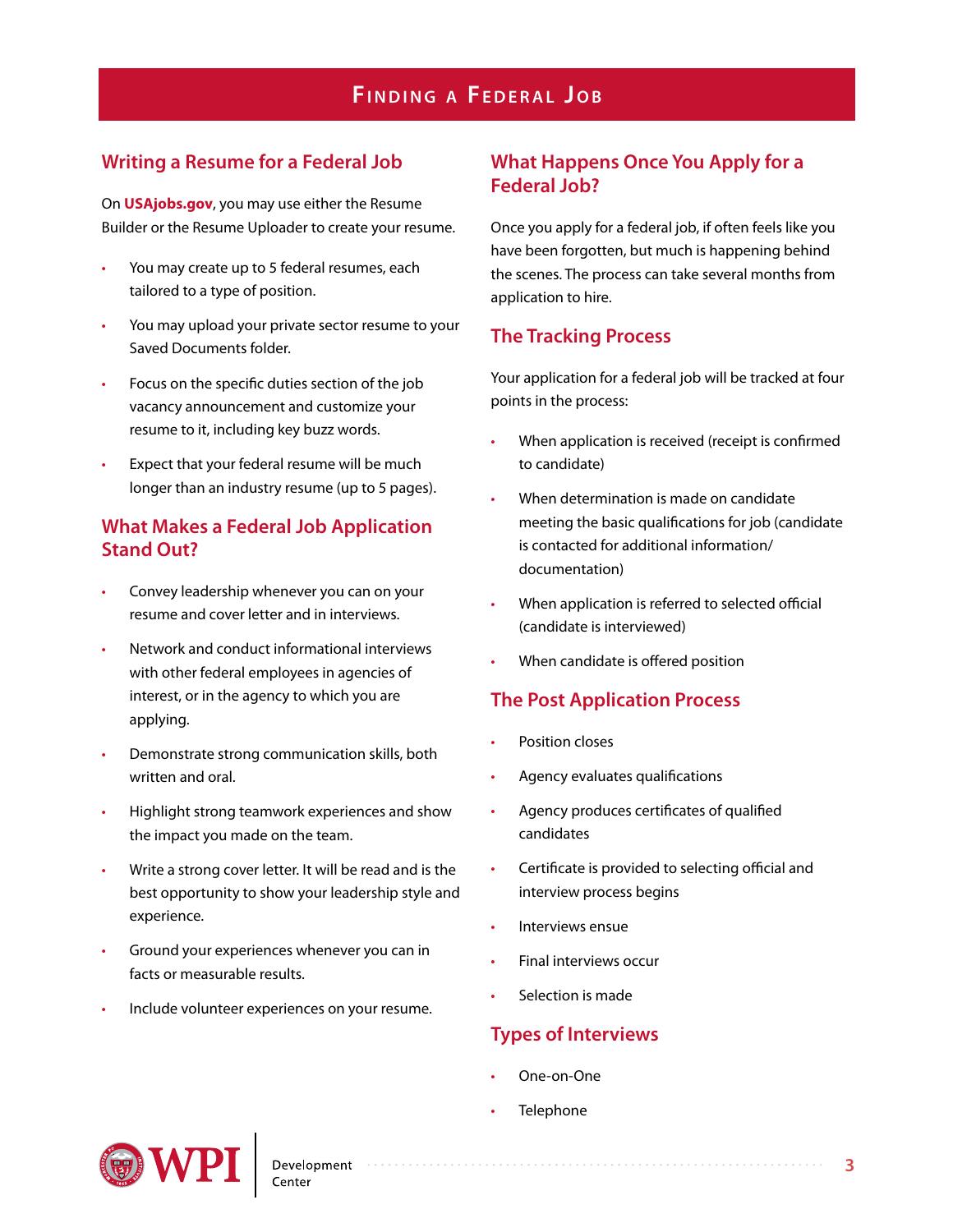## **Fi n d i n g a F e d e r a l J o b**

#### **Writing a Resume for a Federal Job**

On **[USAjobs.gov](file:///C:/Users/jenwyglinski/Documents/WPI/ACD/CDC/CDC Info Sheets/Sheets/Finding a Federal Job/USAjobs.gov)**, you may use either the Resume Builder or the Resume Uploader to create your resume.

- You may create up to 5 federal resumes, each tailored to a type of position.
- You may upload your private sector resume to your Saved Documents folder.
- Focus on the specific duties section of the job vacancy announcement and customize your resume to it, including key buzz words.
- Expect that your federal resume will be much longer than an industry resume (up to 5 pages).

#### **What Makes a Federal Job Application Stand Out?**

- Convey leadership whenever you can on your resume and cover letter and in interviews.
- Network and conduct informational interviews with other federal employees in agencies of interest, or in the agency to which you are applying.
- Demonstrate strong communication skills, both written and oral.
- Highlight strong teamwork experiences and show the impact you made on the team.
- Write a strong cover letter. It will be read and is the best opportunity to show your leadership style and experience.
- Ground your experiences whenever you can in facts or measurable results.
- Include volunteer experiences on your resume.

#### **What Happens Once You Apply for a Federal Job?**

Once you apply for a federal job, if often feels like you have been forgotten, but much is happening behind the scenes. The process can take several months from application to hire.

#### **The Tracking Process**

Your application for a federal job will be tracked at four points in the process:

- When application is received (receipt is confirmed to candidate)
- When determination is made on candidate meeting the basic qualifications for job (candidate is contacted for additional information/ documentation)
- When application is referred to selected official (candidate is interviewed)
- When candidate is offered position

#### **The Post Application Process**

- Position closes
- Agency evaluates qualifications
- Agency produces certificates of qualified candidates
- Certificate is provided to selecting official and interview process begins

- Interviews ensue
- Final interviews occur
- Selection is made

### **Types of Interviews**

- One-on-One
- **Telephone**